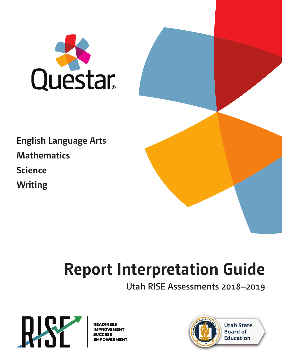

**English Language Arts Mathematics Science Writing**

# **Report Interpretation Guide**

**Utah RISE Assessments 2018–2019**



**READINESS IMPROVEMENT SUCCESS EMPOWERMENT** 

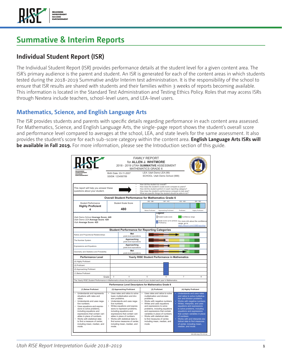

## **Summative & Interim Reports**

#### **Individual Student Report (ISR)**

The Individual Student Report (ISR) provides performance details at the student level for a given content area. The ISR's primary audience is the parent and student. An ISR is generated for each of the content areas in which students tested during the 2018-2019 Summative and/or Interim test administration. It is the responsibility of the school to ensure that ISR results are shared with students and their families within 3 weeks of reports becoming available. This information is located in the Standard Test Administration and Testing Ethics Policy. Roles that may access ISRs through Nextera include teachers, school-level users, and LEA-level users.

#### **Mathematics, Science, and English Language Arts**

The ISR provides students and parents with specific details regarding performance in each content area assessed. For Mathematics, Science, and English Language Arts, the single-page report shows the student's overall score and performance level compared to averages at the school, LEA, and state levels for the same assessment. It also provides the student's score for each sub-score category within the content area. **English Language Arts ISRs will be available in Fall 2019.** For more information, please see the Introduction section of this guide.

| <b>READINESS</b><br><b>IMPROVEMENT</b><br>SUCCESS<br>EMPOWERMENT                                                                                                                                                                                                                                                                                                                                                                   | SSID#: 123456789                         | 2018 - 2019 UTAH SUMMATIVE ASSESSMENT<br>Birth Date: 03-11-2007                                                                                                                                                                                                                                                                                             | <b>FAMILY REPORT</b><br>for <b>ALLEN J. WHITMORE</b><br><b>MATHEMATICS GRADE 6</b> | LEA: Utah Demo LEA (99)<br>SCHOOL: Utah Demo School (999)                                                                                                                                                                                                                                                                                              |                            | <b>BOARD</b>                                                                                                                                                                                                                                                                                                                                                                                                                          |  |
|------------------------------------------------------------------------------------------------------------------------------------------------------------------------------------------------------------------------------------------------------------------------------------------------------------------------------------------------------------------------------------------------------------------------------------|------------------------------------------|-------------------------------------------------------------------------------------------------------------------------------------------------------------------------------------------------------------------------------------------------------------------------------------------------------------------------------------------------------------|------------------------------------------------------------------------------------|--------------------------------------------------------------------------------------------------------------------------------------------------------------------------------------------------------------------------------------------------------------------------------------------------------------------------------------------------------|----------------------------|---------------------------------------------------------------------------------------------------------------------------------------------------------------------------------------------------------------------------------------------------------------------------------------------------------------------------------------------------------------------------------------------------------------------------------------|--|
| This report will help you answer these<br>questions about your student.                                                                                                                                                                                                                                                                                                                                                            |                                          |                                                                                                                                                                                                                                                                                                                                                             | How did the student do overall?                                                    | How does the student's scale score compare to peers?<br>How did the student perform in each reporting category?<br>How does the student's performance compare to last year?<br>What are specific things the student should be able to do?                                                                                                              |                            |                                                                                                                                                                                                                                                                                                                                                                                                                                       |  |
|                                                                                                                                                                                                                                                                                                                                                                                                                                    |                                          | <b>Overall Student Performance for Mathematics Grade 6</b>                                                                                                                                                                                                                                                                                                  |                                                                                    |                                                                                                                                                                                                                                                                                                                                                        |                            |                                                                                                                                                                                                                                                                                                                                                                                                                                       |  |
| <b>Student Performance</b><br><b>Highly Proficient</b><br>4                                                                                                                                                                                                                                                                                                                                                                        |                                          | <b>Student Scale Score</b><br>480                                                                                                                                                                                                                                                                                                                           | 255.398                                                                            | $397 - 431$                                                                                                                                                                                                                                                                                                                                            | $432 - 463$                | $464 - 563$                                                                                                                                                                                                                                                                                                                                                                                                                           |  |
| Utah Demo School Average Score: 449<br>Utah Demo LEA Average Score: 429<br>Utah Average Score: 425                                                                                                                                                                                                                                                                                                                                 |                                          |                                                                                                                                                                                                                                                                                                                                                             | <b>Relow Proficient</b>                                                            | Approaching Proficient<br>Legend:<br>Student scale score<br>Scale super                                                                                                                                                                                                                                                                                | Proficient<br>range, go to | <b>Highly Proficient</b><br>Confidence range<br>Scale score cut to achieve For more info about the confidence<br>https://tinyurl.com/USBEreporting                                                                                                                                                                                                                                                                                    |  |
|                                                                                                                                                                                                                                                                                                                                                                                                                                    |                                          | <b>Student Performance for Reporting Categories</b>                                                                                                                                                                                                                                                                                                         |                                                                                    |                                                                                                                                                                                                                                                                                                                                                        |                            |                                                                                                                                                                                                                                                                                                                                                                                                                                       |  |
| Ratios and Proportional Relationships                                                                                                                                                                                                                                                                                                                                                                                              |                                          | Met<br>grade level expectations                                                                                                                                                                                                                                                                                                                             |                                                                                    |                                                                                                                                                                                                                                                                                                                                                        |                            |                                                                                                                                                                                                                                                                                                                                                                                                                                       |  |
| The Number System                                                                                                                                                                                                                                                                                                                                                                                                                  |                                          | Approaching<br>grade level expectations                                                                                                                                                                                                                                                                                                                     |                                                                                    |                                                                                                                                                                                                                                                                                                                                                        |                            |                                                                                                                                                                                                                                                                                                                                                                                                                                       |  |
| <b>Expressions and Equations</b>                                                                                                                                                                                                                                                                                                                                                                                                   |                                          | Approaching<br>grade level expectations                                                                                                                                                                                                                                                                                                                     |                                                                                    |                                                                                                                                                                                                                                                                                                                                                        |                            |                                                                                                                                                                                                                                                                                                                                                                                                                                       |  |
| Geometry and Statistics and Probability                                                                                                                                                                                                                                                                                                                                                                                            |                                          | Met<br>grade level expectations                                                                                                                                                                                                                                                                                                                             |                                                                                    |                                                                                                                                                                                                                                                                                                                                                        |                            |                                                                                                                                                                                                                                                                                                                                                                                                                                       |  |
| <b>Performance Level</b>                                                                                                                                                                                                                                                                                                                                                                                                           |                                          |                                                                                                                                                                                                                                                                                                                                                             |                                                                                    | <b>Yearly RISE Student Performance in Mathematics</b>                                                                                                                                                                                                                                                                                                  |                            |                                                                                                                                                                                                                                                                                                                                                                                                                                       |  |
| (4) Highly Proficient                                                                                                                                                                                                                                                                                                                                                                                                              |                                          |                                                                                                                                                                                                                                                                                                                                                             |                                                                                    |                                                                                                                                                                                                                                                                                                                                                        |                            |                                                                                                                                                                                                                                                                                                                                                                                                                                       |  |
| (3) Proficient                                                                                                                                                                                                                                                                                                                                                                                                                     |                                          |                                                                                                                                                                                                                                                                                                                                                             |                                                                                    |                                                                                                                                                                                                                                                                                                                                                        |                            |                                                                                                                                                                                                                                                                                                                                                                                                                                       |  |
| (2) Approaching Proficient                                                                                                                                                                                                                                                                                                                                                                                                         |                                          |                                                                                                                                                                                                                                                                                                                                                             |                                                                                    |                                                                                                                                                                                                                                                                                                                                                        |                            |                                                                                                                                                                                                                                                                                                                                                                                                                                       |  |
| (1) Below Proficient                                                                                                                                                                                                                                                                                                                                                                                                               |                                          |                                                                                                                                                                                                                                                                                                                                                             |                                                                                    |                                                                                                                                                                                                                                                                                                                                                        |                            |                                                                                                                                                                                                                                                                                                                                                                                                                                       |  |
|                                                                                                                                                                                                                                                                                                                                                                                                                                    | 3<br>Grade                               | $\overline{4}$                                                                                                                                                                                                                                                                                                                                              | 5                                                                                  | 6                                                                                                                                                                                                                                                                                                                                                      | $\overline{7}$             | 8                                                                                                                                                                                                                                                                                                                                                                                                                                     |  |
| The Yearly RISE Student Performance in Mathematics shows the performance level of your student each year in Mathematics.                                                                                                                                                                                                                                                                                                           |                                          |                                                                                                                                                                                                                                                                                                                                                             |                                                                                    |                                                                                                                                                                                                                                                                                                                                                        |                            |                                                                                                                                                                                                                                                                                                                                                                                                                                       |  |
|                                                                                                                                                                                                                                                                                                                                                                                                                                    |                                          | Performance Level Descriptors for Mathematics Grade 6                                                                                                                                                                                                                                                                                                       |                                                                                    |                                                                                                                                                                                                                                                                                                                                                        |                            |                                                                                                                                                                                                                                                                                                                                                                                                                                       |  |
| (1) Below Proficient                                                                                                                                                                                                                                                                                                                                                                                                               |                                          | (2) Approaching Proficient                                                                                                                                                                                                                                                                                                                                  |                                                                                    | (3) Proficient                                                                                                                                                                                                                                                                                                                                         | (4) Highly Proficient      |                                                                                                                                                                                                                                                                                                                                                                                                                                       |  |
| ٠<br>Understands and represents<br>situations with rates and<br>ratios.<br>Understands and uses nega-<br>$\ddot{\phantom{0}}$<br>tive numbers.<br>$\ddot{\phantom{0}}$<br>Uses equations and expres-<br>sions to solve problems,<br>including equations and<br>expressions that contain vari-<br>ables in place of numbers.<br>Works with statistical data<br>to find a measure of center.<br>including mean, median, and<br>mode. | sion problems.<br>tive numbers.<br>mode. | Uses rates and ratios to solve<br>basic multiplication and divi-<br>Understands and uses nega-<br>Writes equations and expres-<br>sions to represent problems,<br>including equations and<br>expressions that contain vari-<br>ables in place of numbers.<br>Works with statistical data to<br>find some measures of center,<br>including mean, median, and | problems.<br>$\ddot{\phantom{0}}$<br>mode.                                         | Uses rates and ratios to solve<br>multiplication and division<br>Works with negative numbers.<br>Writes and uses equations<br>and expressions to solve<br>problems, including equations<br>and expressions that contain<br>variables in place of numbers.<br>Works with statistical data<br>to find measures of center.<br>including mean, median, and |                            | Understands and uses rates<br>and ratios to solve multiplica-<br>tion and division problems.<br>Works with negative numbers.<br>Writes, interprets, and uses<br>equations and expressions<br>to solve problems, including<br>equations and expressions<br>that contain variables in place<br>of numbers.<br>¥.<br>Works with and interprets sta-<br>tistical data to find measures<br>of center, including mean,<br>median, and mode. |  |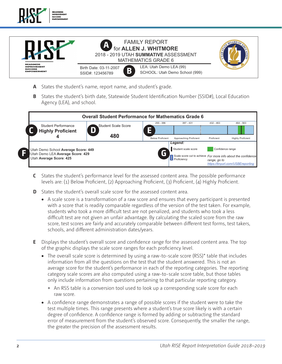

- **A** States the student's name, report name, and student's grade.
- $T$  report will help you answer the set of  $T$ **B** States the student's birth date, Statewide Student Identification Number (SSID#), **B** States the student's birth date, Statewide Student Identification Number (SSID#), Local Education Agency (LEA), and school. rgency (LLA), and . שט <sub>(</sub>אטוככן ושטוושטו ויטוואפווווישטוואן, בט



- **C** States the student's performance level for the assessed content area. The levels are: (1) Below Proficient, (2) Approachi **L** States the student's performance level for the assessed content area. The possible performance level by the assessed content area. The possible performance level by a levels are: (1) Below Proficient, (2) Approaching P **C** States the student's performance level for the assessed content area. The possible performance
- **D** States the student's overall scale score for the **D** States the student's overall scale score for the assessed content area.
- students who took a more difficult test are not penalized, and students who took a less<br>difficult test are not given an unfair advantage. By calculating the scaled score from the difficult test are not given an unfair advantage. By calculating the scaled score from the raw schools, and different administration dates/years. • A scale score is a transformation of a raw score and ensures that every participant is presented with a score that is readily comparable regardless of the version of the test taken. For example, difficult test are not given an unfair advantage. By calculating the scaled score from the raw<br>score, test scores are fairly and accurately comparable between different test forms, test takers,  3UR¿FLHQW
- adents overall store and communice lange for the assessed content area. The f The *Yearly RISE Student Performance in Mathematics* shows the performance level of your student each year in Mathematics. **E** Displays the student's overall score and confidence range for the assessed content area. The top of the graphic displays the scale score ranges for each proficiency level.  $G<sub>2</sub>$  4  $\frac{1}{2}$  6  $\frac{1}{2}$  6  $\frac{1}{2}$  6  $\frac{1}{2}$  6  $\frac{1}{2}$  6  $\frac{1}{2}$  6  $\frac{1}{2}$  6  $\frac{1}{2}$  6  $\frac{1}{2}$  6  $\frac{1}{2}$  6  $\frac{1}{2}$  6  $\frac{1}{2}$  6  $\frac{1}{2}$  6  $\frac{1}{2}$  6  $\frac{1}{2}$  6  $\frac{1}{2}$  6  $\frac{1}{2}$  6  $\frac{$
- Performance Designation and Performance Conservative Conservative Conservative Conservative Conservative Conserv<br>In the conservative conservative conservative conservative conservative conservative conservative conservativ average score for the student's performance in each of the reporting categories. The reporting category scale scores are also computed using a raw-to-scale score table, but those tables state situations and dividend compute mation froi multiplication and division and division and division and division and division and division and division and <br>Second division and division and division and division and division and division and division and division and taining re, but those tubies only include information from questions pertaining to that particular reporting category. Information from all the questions on the test that the student answered. This is not an • The overall scale score is determined by using a raw-to-scale score (RSS)<sup>\*</sup> table that includes situations with rates and basic multiplication and divi- $\sim$   $\sim$   $\sim$  $\overline{a}$
- Understands and uses nega-• Understands and uses negative numbers. The second second second second second second second second second second second second second s<br>... raw score. d convers • Works with negative numbers.  $\sigma$  look up a correspon • Works with negative numbers. stale stole for each tive numbers. onversion t \* An RSS table is a conversion tool used to look up a corresponding scale score for each • Works with negative numbers.
- $\bullet$  A contide recommence range demonstrates a range or possible secres in the stadem were to take the<br>tost multiple times. This range procents where a student's true score likely is with a certain ables in place of numbers. eegree or error of measurement from the student's observed score Consequently the smaller the range including mean, median, and including mean, median, and e demonstrates a  $\frac{1}{2}$ rence. A comidence ran zusit possible scores if the • Works with statistical data iormed by adding o the greater the precision of the assessment results. • A confidence range demonstrates a range of possible scores if the student were to take the of diameters. degree of confidence. A confidence range is formed by adding or subtracting the standard of center, including mean, test multiple error or meas sinonstrates a range ins range present  $\frac{a}{b}$ ent nom the stadents t problems because in the star i students true score er vod score Consegui rea score. conseque  $t = t_0$  to take the problems, including  $\frac{1}{2}$ test multiple times. This range presents where a student's true score likely is with a certain o<br>occorrections error of measurement from the student's observed score. Consequently, the smaller the range,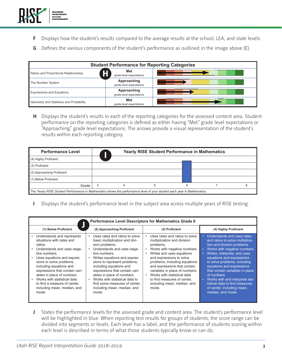

**F** Displays how the student's results compared to the average results at the school, LEA, and state levels. F Displays how the student's results compared to the average results at the school, LEA dent's results compared to the average results at the school, LEA,

**E**

MATHEMATICS GRADE 6

 $\mathcal{F}(\mathcal{F})=\mathcal{F}(\mathcal{F})$  and the studies overall  $\mathcal{F}(\mathcal{F})$ 

**G** Defines the various components of the student's performance as outlined in the image above (E).

**480**

| <b>Student Performance for Reporting Categories</b> |                                         |  |  |  |  |  |
|-----------------------------------------------------|-----------------------------------------|--|--|--|--|--|
| Ratios and Proportional Relationships               | Met<br>grade level expectations         |  |  |  |  |  |
| The Number System                                   | Approaching<br>grade level expectations |  |  |  |  |  |
| <b>Expressions and Equations</b>                    | Approaching<br>grade level expectations |  |  |  |  |  |
| Geometry and Statistics and Probability             | Met<br>grade level expectations         |  |  |  |  |  |

H Displays the student's results in each of the reporting categories for the assessed content area. Student performance on the reporting categories is defined as either having "Met" grade level expectations or reproaching grade level expectations. The and results within each reporting category. .<br>"Approaching" grade level expectations. The arrows provide a visual representation of the student's **H** Displays the student's results in each of the reporting categories for the assessed cont

| <b>Performance Level</b>   | <b>Yearly RISE Student Performance in Mathematics</b> |   |  |  |  |  |
|----------------------------|-------------------------------------------------------|---|--|--|--|--|
| (4) Highly Proficient      |                                                       |   |  |  |  |  |
| (3) Proficient             |                                                       |   |  |  |  |  |
| (2) Approaching Proficient |                                                       |   |  |  |  |  |
| (1) Below Proficient       |                                                       |   |  |  |  |  |
| 3<br>Grade                 | 5                                                     | 6 |  |  |  |  |

grade level expectations

I Displays the student's performance level in the subject area across multiple years of RISE testing. expressions that contain varivariables in place of numbers.  $\sim$ Grade 3 4 5 678

|                                                                                                                                                                                                                                                                                                                                                                               | <b>Performance Level Descriptors for Mathematics Grade 6</b>                                                                                                                                                                                                                                                                                                                                                         |                                                                                                                                                                                                                                                                                                                                                                                                                     |                                                                                                                                                                                                                                                                                                                                                                                                                                 |  |  |  |  |  |
|-------------------------------------------------------------------------------------------------------------------------------------------------------------------------------------------------------------------------------------------------------------------------------------------------------------------------------------------------------------------------------|----------------------------------------------------------------------------------------------------------------------------------------------------------------------------------------------------------------------------------------------------------------------------------------------------------------------------------------------------------------------------------------------------------------------|---------------------------------------------------------------------------------------------------------------------------------------------------------------------------------------------------------------------------------------------------------------------------------------------------------------------------------------------------------------------------------------------------------------------|---------------------------------------------------------------------------------------------------------------------------------------------------------------------------------------------------------------------------------------------------------------------------------------------------------------------------------------------------------------------------------------------------------------------------------|--|--|--|--|--|
| (1) Below Proficient                                                                                                                                                                                                                                                                                                                                                          | (2) Approaching Proficient                                                                                                                                                                                                                                                                                                                                                                                           | (3) Proficient                                                                                                                                                                                                                                                                                                                                                                                                      | (4) Highly Proficient                                                                                                                                                                                                                                                                                                                                                                                                           |  |  |  |  |  |
| Understands and represents<br>situations with rates and<br>ratios.<br>Understands and uses nega-<br>tive numbers.<br>Uses equations and expres-<br>sions to solve problems.<br>including equations and<br>expressions that contain vari-<br>ables in place of numbers.<br>Works with statistical data<br>to find a measure of center,<br>including mean, median, and<br>mode. | Uses rates and ratios to solve<br>$\bullet$<br>basic multiplication and divi-<br>sion problems.<br>Understands and uses nega-<br>tive numbers.<br>Writes equations and expres-<br>sions to represent problems.<br>including equations and<br>expressions that contain vari-<br>ables in place of numbers.<br>Works with statistical data to<br>find some measures of center,<br>including mean, median, and<br>mode. | Uses rates and ratios to solve<br>$\bullet$<br>multiplication and division<br>problems.<br>Works with negative numbers.<br>$\bullet$<br>Writes and uses equations<br>and expressions to solve<br>problems, including equations<br>and expressions that contain<br>variables in place of numbers.<br>Works with statistical data<br>$\bullet$<br>to find measures of center,<br>including mean, median, and<br>mode. | Understands and uses rates<br>and ratios to solve multiplica-<br>tion and division problems.<br>Works with negative numbers.<br>Writes, interprets, and uses<br>equations and expressions<br>to solve problems, including<br>equations and expressions<br>that contain variables in place<br>of numbers.<br>Works with and interprets sta-<br>tistical data to find measures<br>of center, including mean,<br>median, and mode. |  |  |  |  |  |

**J** States the performance levels for the assessed grade and content area. The student's performance level will be highlighted in blue. When reporting test results for groups of students, the score range can be divided into segments or levels. Each level has a label, and the performance of students scoring within each level is described in terms of what those students typically know or can do.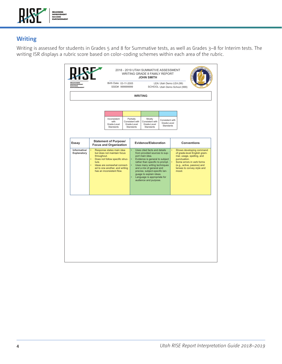

### **Writing**

Writing is assessed for students in Grades 5 and 8 for Summative tests, as well as Grades 3–8 for Interim tests. The writing ISR displays a rubric score based on color-coding schemes within each area of the rubric.

| <b>HEADINESS<br/>IMPROVEMENT<br/>SUCCESS<br/>EMPOWERMENT</b> |            | Birth Date: 03-11-2005<br>SSID#: 999999999                                                                                                                                                               |  |                                                                 |                                                                                                                                                                                                                                                                                                                                                  | LEA: Utah Demo LEA (99)<br>SCHOOL: Utah Demo School (999) |  |                                                                                                                                                                                                          |
|--------------------------------------------------------------|------------|----------------------------------------------------------------------------------------------------------------------------------------------------------------------------------------------------------|--|-----------------------------------------------------------------|--------------------------------------------------------------------------------------------------------------------------------------------------------------------------------------------------------------------------------------------------------------------------------------------------------------------------------------------------|-----------------------------------------------------------|--|----------------------------------------------------------------------------------------------------------------------------------------------------------------------------------------------------------|
|                                                              |            |                                                                                                                                                                                                          |  |                                                                 | <b>WRITING</b>                                                                                                                                                                                                                                                                                                                                   |                                                           |  |                                                                                                                                                                                                          |
|                                                              |            |                                                                                                                                                                                                          |  |                                                                 |                                                                                                                                                                                                                                                                                                                                                  |                                                           |  |                                                                                                                                                                                                          |
|                                                              |            | Inconsistent<br>with<br>Grade-Level<br><b>Standards</b>                                                                                                                                                  |  | Partially<br>Consistent with<br>Grade-Level<br><b>Standards</b> | Mostly<br>Consistent with<br>Consistent with<br>Grade-Level<br>Grade-Level<br>Standards<br><b>Standards</b>                                                                                                                                                                                                                                      |                                                           |  |                                                                                                                                                                                                          |
| Essay                                                        |            | <b>Statement of Purpose/</b><br><b>Focus and Organization</b>                                                                                                                                            |  |                                                                 | Evidence/Elaboration                                                                                                                                                                                                                                                                                                                             |                                                           |  | <b>Conventions</b>                                                                                                                                                                                       |
| Informative/<br>Explanatory                                  | ٠<br>ture. | Response states main idea<br>but does not maintain focus<br>throughout.<br>Does not follow specific struc-<br>Ideas are somewhat connect-<br>ed to one another, and writing<br>has an inconsistent flow. |  |                                                                 | Uses cited facts and details<br>۰<br>from provided sources to sup-<br>port main idea.<br>Evidence is general to subject<br>۰<br>rather than specific to prompt.<br>Uses many writing techniques<br>and a mix of general and<br>precise, subject-specific lan-<br>guage to explain ideas.<br>Language is appropriate for<br>audience and purpose. |                                                           |  | Shows developing command<br>of grade-level English gram-<br>mar, usage, spelling, and<br>punctuation.<br>Some errors in verb forms<br>(e.g., active, passive) and<br>tenses to convey style and<br>mood. |
|                                                              |            |                                                                                                                                                                                                          |  |                                                                 |                                                                                                                                                                                                                                                                                                                                                  |                                                           |  |                                                                                                                                                                                                          |
|                                                              |            |                                                                                                                                                                                                          |  |                                                                 |                                                                                                                                                                                                                                                                                                                                                  |                                                           |  |                                                                                                                                                                                                          |
|                                                              |            |                                                                                                                                                                                                          |  |                                                                 |                                                                                                                                                                                                                                                                                                                                                  |                                                           |  |                                                                                                                                                                                                          |